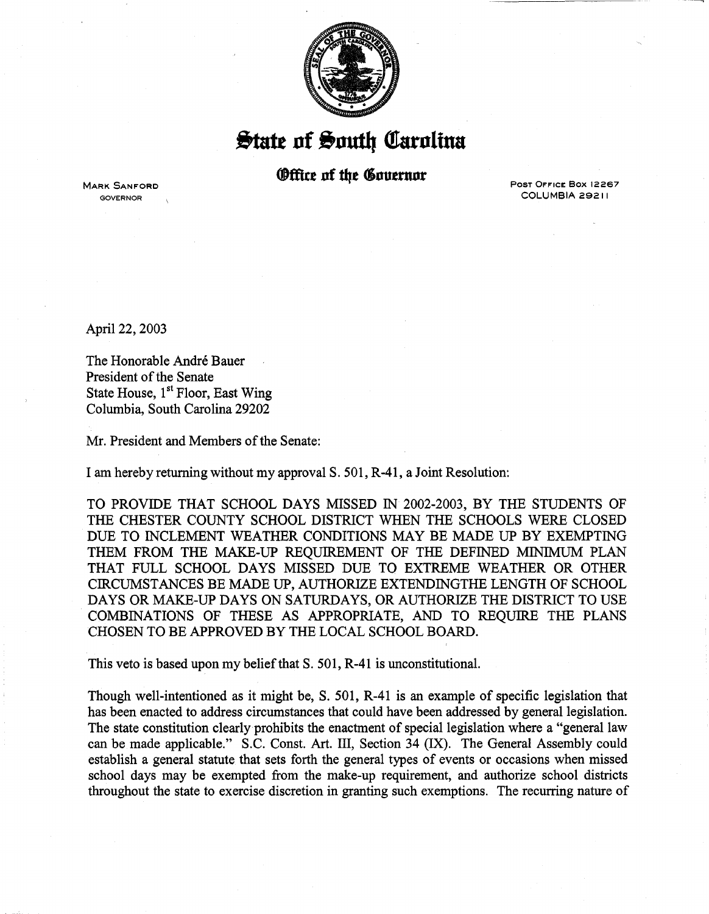

 $\frac{1}{2}$ tate of South Carolina

## **Office of the Governor**

MARK SANFORD GOVERNOR

PosT OFFICE Box 12267 COLUMBIA 29211

April 22, 2003

The Honorable André Bauer President of the Senate State House, 1<sup>st</sup> Floor, East Wing Columbia, South Carolina 29202

Mr. President and Members of the Senate:

I am hereby returning without my approval S. 501, R-41, a Joint Resolution:

TO PROVIDE THAT SCHOOL DAYS MISSED IN 2002-2003, BY THE STUDENTS OF THE CHESTER COUNTY SCHOOL DISTRICT WHEN THE SCHOOLS WERE CLOSED DUE TO INCLEMENT WEATHER CONDITIONS MAY BE MADE UP BY EXEMPTING THEM FROM THE MAKE-UP REQUIREMENT OF THE DEFINED MINIMUM PLAN THAT FULL SCHOOL DAYS MISSED DUE TO EXTREME WEATHER OR OTHER CIRCUMSTANCES BE MADE UP, AUTHORIZE EXTENDINGTHE LENGTH OF SCHOOL DAYS OR MAKE-UP DAYS ON SATURDAYS, OR AUTHORIZE THE DISTRICT TO USE COMBINATIONS OF THESE AS APPROPRIATE, AND TO REQUIRE THE PLANS CHOSEN TO BE APPROVED BY THE LOCAL SCHOOL BOARD.

This veto is based upon my belief that S. 501, R-41 is unconstitutional.

Though well-intentioned as it might be, S. 501, R-41 is an example of specific legislation that has been enacted to address circumstances that could have been addressed by general legislation. The state constitution clearly prohibits the enactment of special legislation where a "general law can be made applicable." S.C. Const. Art. III, Section 34 (IX). The General Assembly could establish a general statute that sets forth the general types of events or occasions when missed school days may be exempted from the make-up requirement, and authorize school districts throughout the state to exercise discretion in granting such exemptions. The recurring nature of